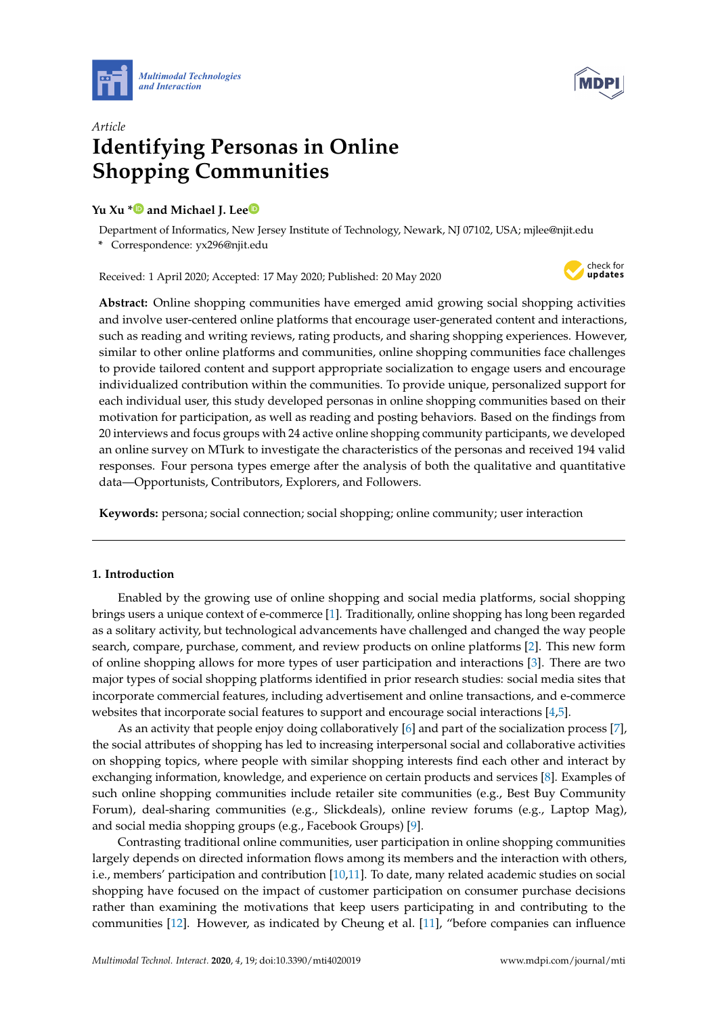



# *Article* **Identifying Personas in Online Shopping Communities**

# **Yu Xu [\\*](https://orcid.org/0000-0002-0146-9025) and Michael J. Le[e](https://orcid.org/0000-0001-7967-4101)**

Department of Informatics, New Jersey Institute of Technology, Newark, NJ 07102, USA; mjlee@njit.edu **\*** Correspondence: yx296@njit.edu

Received: 1 April 2020; Accepted: 17 May 2020; Published: 20 May 2020



**Abstract:** Online shopping communities have emerged amid growing social shopping activities and involve user-centered online platforms that encourage user-generated content and interactions, such as reading and writing reviews, rating products, and sharing shopping experiences. However, similar to other online platforms and communities, online shopping communities face challenges to provide tailored content and support appropriate socialization to engage users and encourage individualized contribution within the communities. To provide unique, personalized support for each individual user, this study developed personas in online shopping communities based on their motivation for participation, as well as reading and posting behaviors. Based on the findings from 20 interviews and focus groups with 24 active online shopping community participants, we developed an online survey on MTurk to investigate the characteristics of the personas and received 194 valid responses. Four persona types emerge after the analysis of both the qualitative and quantitative data—Opportunists, Contributors, Explorers, and Followers.

**Keywords:** persona; social connection; social shopping; online community; user interaction

# **1. Introduction**

Enabled by the growing use of online shopping and social media platforms, social shopping brings users a unique context of e-commerce [\[1\]](#page-14-0). Traditionally, online shopping has long been regarded as a solitary activity, but technological advancements have challenged and changed the way people search, compare, purchase, comment, and review products on online platforms [\[2\]](#page-15-0). This new form of online shopping allows for more types of user participation and interactions [\[3\]](#page-15-1). There are two major types of social shopping platforms identified in prior research studies: social media sites that incorporate commercial features, including advertisement and online transactions, and e-commerce websites that incorporate social features to support and encourage social interactions [\[4](#page-15-2)[,5\]](#page-15-3).

As an activity that people enjoy doing collaboratively [\[6\]](#page-15-4) and part of the socialization process [\[7\]](#page-15-5), the social attributes of shopping has led to increasing interpersonal social and collaborative activities on shopping topics, where people with similar shopping interests find each other and interact by exchanging information, knowledge, and experience on certain products and services [\[8\]](#page-15-6). Examples of such online shopping communities include retailer site communities (e.g., Best Buy Community Forum), deal-sharing communities (e.g., Slickdeals), online review forums (e.g., Laptop Mag), and social media shopping groups (e.g., Facebook Groups) [\[9\]](#page-15-7).

Contrasting traditional online communities, user participation in online shopping communities largely depends on directed information flows among its members and the interaction with others, i.e., members' participation and contribution [\[10](#page-15-8)[,11\]](#page-15-9). To date, many related academic studies on social shopping have focused on the impact of customer participation on consumer purchase decisions rather than examining the motivations that keep users participating in and contributing to the communities [\[12\]](#page-15-10). However, as indicated by Cheung et al. [\[11\]](#page-15-9), "before companies can influence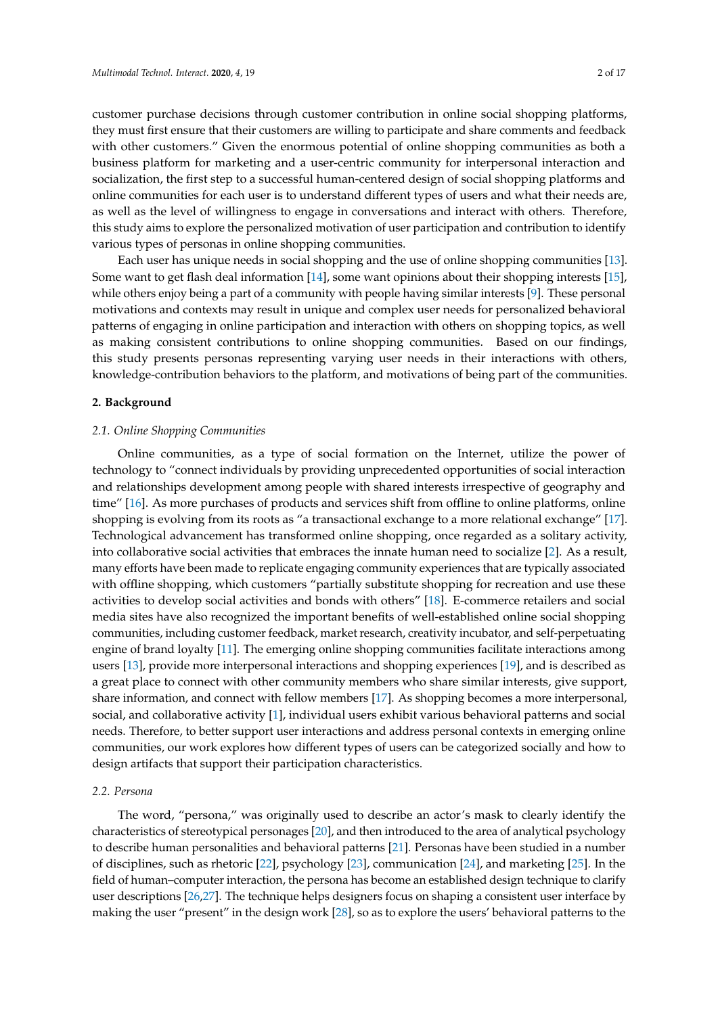customer purchase decisions through customer contribution in online social shopping platforms, they must first ensure that their customers are willing to participate and share comments and feedback with other customers." Given the enormous potential of online shopping communities as both a business platform for marketing and a user-centric community for interpersonal interaction and socialization, the first step to a successful human-centered design of social shopping platforms and online communities for each user is to understand different types of users and what their needs are, as well as the level of willingness to engage in conversations and interact with others. Therefore, this study aims to explore the personalized motivation of user participation and contribution to identify various types of personas in online shopping communities.

Each user has unique needs in social shopping and the use of online shopping communities [\[13\]](#page-15-11). Some want to get flash deal information [\[14\]](#page-15-12), some want opinions about their shopping interests [\[15\]](#page-15-13), while others enjoy being a part of a community with people having similar interests [\[9\]](#page-15-7). These personal motivations and contexts may result in unique and complex user needs for personalized behavioral patterns of engaging in online participation and interaction with others on shopping topics, as well as making consistent contributions to online shopping communities. Based on our findings, this study presents personas representing varying user needs in their interactions with others, knowledge-contribution behaviors to the platform, and motivations of being part of the communities.

# **2. Background**

### *2.1. Online Shopping Communities*

Online communities, as a type of social formation on the Internet, utilize the power of technology to "connect individuals by providing unprecedented opportunities of social interaction and relationships development among people with shared interests irrespective of geography and time" [\[16\]](#page-15-14). As more purchases of products and services shift from offline to online platforms, online shopping is evolving from its roots as "a transactional exchange to a more relational exchange" [\[17\]](#page-15-15). Technological advancement has transformed online shopping, once regarded as a solitary activity, into collaborative social activities that embraces the innate human need to socialize [\[2\]](#page-15-0). As a result, many efforts have been made to replicate engaging community experiences that are typically associated with offline shopping, which customers "partially substitute shopping for recreation and use these activities to develop social activities and bonds with others" [\[18\]](#page-15-16). E-commerce retailers and social media sites have also recognized the important benefits of well-established online social shopping communities, including customer feedback, market research, creativity incubator, and self-perpetuating engine of brand loyalty [\[11\]](#page-15-9). The emerging online shopping communities facilitate interactions among users [\[13\]](#page-15-11), provide more interpersonal interactions and shopping experiences [\[19\]](#page-15-17), and is described as a great place to connect with other community members who share similar interests, give support, share information, and connect with fellow members [\[17\]](#page-15-15). As shopping becomes a more interpersonal, social, and collaborative activity [\[1\]](#page-14-0), individual users exhibit various behavioral patterns and social needs. Therefore, to better support user interactions and address personal contexts in emerging online communities, our work explores how different types of users can be categorized socially and how to design artifacts that support their participation characteristics.

# *2.2. Persona*

The word, "persona," was originally used to describe an actor's mask to clearly identify the characteristics of stereotypical personages [\[20\]](#page-15-18), and then introduced to the area of analytical psychology to describe human personalities and behavioral patterns [\[21\]](#page-15-19). Personas have been studied in a number of disciplines, such as rhetoric [\[22\]](#page-15-20), psychology [\[23\]](#page-15-21), communication [\[24\]](#page-15-22), and marketing [\[25\]](#page-15-23). In the field of human–computer interaction, the persona has become an established design technique to clarify user descriptions [\[26](#page-16-0)[,27\]](#page-16-1). The technique helps designers focus on shaping a consistent user interface by making the user "present" in the design work [\[28\]](#page-16-2), so as to explore the users' behavioral patterns to the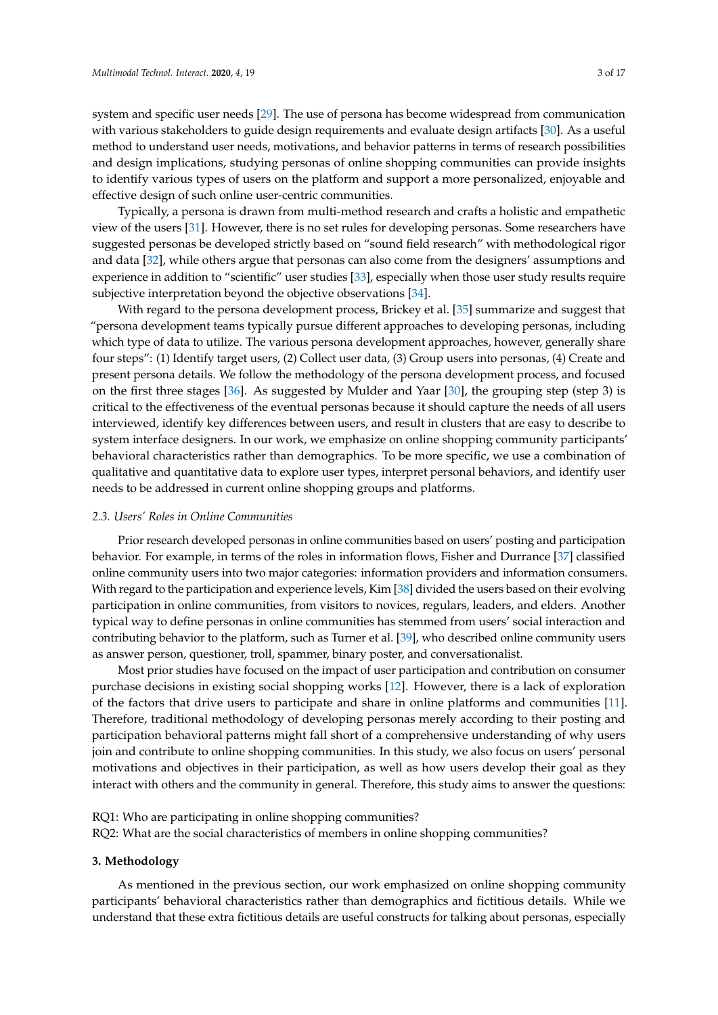system and specific user needs [\[29\]](#page-16-3). The use of persona has become widespread from communication with various stakeholders to guide design requirements and evaluate design artifacts [\[30\]](#page-16-4). As a useful method to understand user needs, motivations, and behavior patterns in terms of research possibilities and design implications, studying personas of online shopping communities can provide insights to identify various types of users on the platform and support a more personalized, enjoyable and effective design of such online user-centric communities.

Typically, a persona is drawn from multi-method research and crafts a holistic and empathetic view of the users [\[31\]](#page-16-5). However, there is no set rules for developing personas. Some researchers have suggested personas be developed strictly based on "sound field research" with methodological rigor and data [\[32\]](#page-16-6), while others argue that personas can also come from the designers' assumptions and experience in addition to "scientific" user studies [\[33\]](#page-16-7), especially when those user study results require subjective interpretation beyond the objective observations [\[34\]](#page-16-8).

With regard to the persona development process, Brickey et al. [\[35\]](#page-16-9) summarize and suggest that "persona development teams typically pursue different approaches to developing personas, including which type of data to utilize. The various persona development approaches, however, generally share four steps": (1) Identify target users, (2) Collect user data, (3) Group users into personas, (4) Create and present persona details. We follow the methodology of the persona development process, and focused on the first three stages [\[36\]](#page-16-10). As suggested by Mulder and Yaar [\[30\]](#page-16-4), the grouping step (step 3) is critical to the effectiveness of the eventual personas because it should capture the needs of all users interviewed, identify key differences between users, and result in clusters that are easy to describe to system interface designers. In our work, we emphasize on online shopping community participants' behavioral characteristics rather than demographics. To be more specific, we use a combination of qualitative and quantitative data to explore user types, interpret personal behaviors, and identify user needs to be addressed in current online shopping groups and platforms.

#### *2.3. Users' Roles in Online Communities*

Prior research developed personas in online communities based on users' posting and participation behavior. For example, in terms of the roles in information flows, Fisher and Durrance [\[37\]](#page-16-11) classified online community users into two major categories: information providers and information consumers. With regard to the participation and experience levels, Kim [\[38\]](#page-16-12) divided the users based on their evolving participation in online communities, from visitors to novices, regulars, leaders, and elders. Another typical way to define personas in online communities has stemmed from users' social interaction and contributing behavior to the platform, such as Turner et al. [\[39\]](#page-16-13), who described online community users as answer person, questioner, troll, spammer, binary poster, and conversationalist.

Most prior studies have focused on the impact of user participation and contribution on consumer purchase decisions in existing social shopping works [\[12\]](#page-15-10). However, there is a lack of exploration of the factors that drive users to participate and share in online platforms and communities [\[11\]](#page-15-9). Therefore, traditional methodology of developing personas merely according to their posting and participation behavioral patterns might fall short of a comprehensive understanding of why users join and contribute to online shopping communities. In this study, we also focus on users' personal motivations and objectives in their participation, as well as how users develop their goal as they interact with others and the community in general. Therefore, this study aims to answer the questions:

RQ1: Who are participating in online shopping communities? RQ2: What are the social characteristics of members in online shopping communities?

#### **3. Methodology**

As mentioned in the previous section, our work emphasized on online shopping community participants' behavioral characteristics rather than demographics and fictitious details. While we understand that these extra fictitious details are useful constructs for talking about personas, especially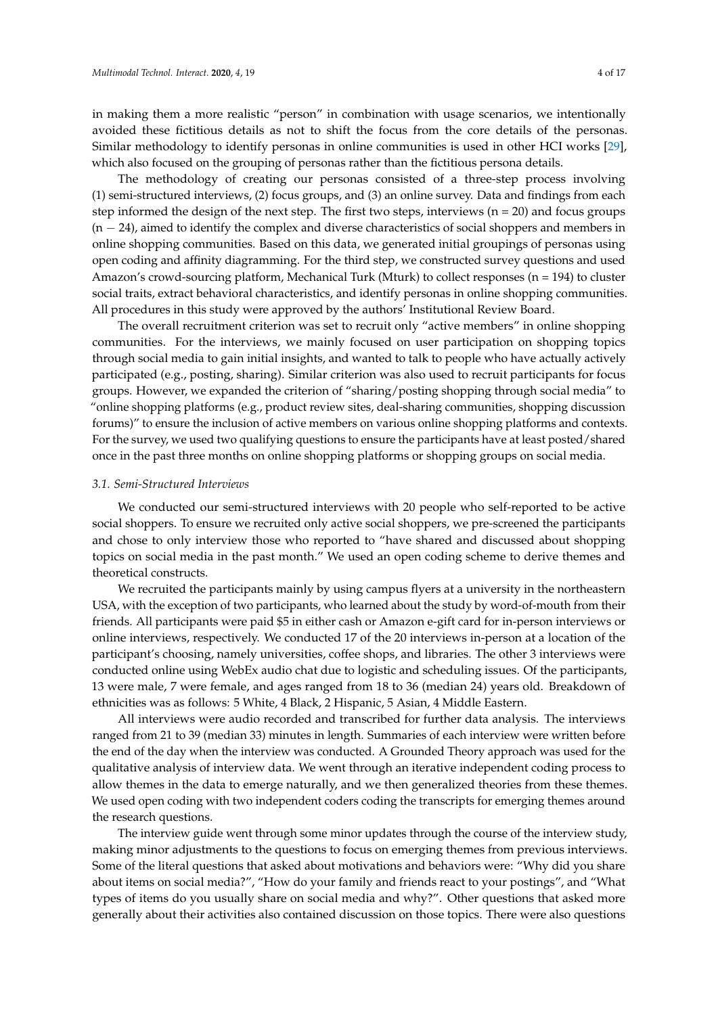in making them a more realistic "person" in combination with usage scenarios, we intentionally avoided these fictitious details as not to shift the focus from the core details of the personas. Similar methodology to identify personas in online communities is used in other HCI works [\[29\]](#page-16-3), which also focused on the grouping of personas rather than the fictitious persona details.

The methodology of creating our personas consisted of a three-step process involving (1) semi-structured interviews, (2) focus groups, and (3) an online survey. Data and findings from each step informed the design of the next step. The first two steps, interviews  $(n = 20)$  and focus groups (n − 24), aimed to identify the complex and diverse characteristics of social shoppers and members in online shopping communities. Based on this data, we generated initial groupings of personas using open coding and affinity diagramming. For the third step, we constructed survey questions and used Amazon's crowd-sourcing platform, Mechanical Turk (Mturk) to collect responses (n = 194) to cluster social traits, extract behavioral characteristics, and identify personas in online shopping communities. All procedures in this study were approved by the authors' Institutional Review Board.

The overall recruitment criterion was set to recruit only "active members" in online shopping communities. For the interviews, we mainly focused on user participation on shopping topics through social media to gain initial insights, and wanted to talk to people who have actually actively participated (e.g., posting, sharing). Similar criterion was also used to recruit participants for focus groups. However, we expanded the criterion of "sharing/posting shopping through social media" to "online shopping platforms (e.g., product review sites, deal-sharing communities, shopping discussion forums)" to ensure the inclusion of active members on various online shopping platforms and contexts. For the survey, we used two qualifying questions to ensure the participants have at least posted/shared once in the past three months on online shopping platforms or shopping groups on social media.

#### *3.1. Semi-Structured Interviews*

We conducted our semi-structured interviews with 20 people who self-reported to be active social shoppers. To ensure we recruited only active social shoppers, we pre-screened the participants and chose to only interview those who reported to "have shared and discussed about shopping topics on social media in the past month." We used an open coding scheme to derive themes and theoretical constructs.

We recruited the participants mainly by using campus flyers at a university in the northeastern USA, with the exception of two participants, who learned about the study by word-of-mouth from their friends. All participants were paid \$5 in either cash or Amazon e-gift card for in-person interviews or online interviews, respectively. We conducted 17 of the 20 interviews in-person at a location of the participant's choosing, namely universities, coffee shops, and libraries. The other 3 interviews were conducted online using WebEx audio chat due to logistic and scheduling issues. Of the participants, 13 were male, 7 were female, and ages ranged from 18 to 36 (median 24) years old. Breakdown of ethnicities was as follows: 5 White, 4 Black, 2 Hispanic, 5 Asian, 4 Middle Eastern.

All interviews were audio recorded and transcribed for further data analysis. The interviews ranged from 21 to 39 (median 33) minutes in length. Summaries of each interview were written before the end of the day when the interview was conducted. A Grounded Theory approach was used for the qualitative analysis of interview data. We went through an iterative independent coding process to allow themes in the data to emerge naturally, and we then generalized theories from these themes. We used open coding with two independent coders coding the transcripts for emerging themes around the research questions.

The interview guide went through some minor updates through the course of the interview study, making minor adjustments to the questions to focus on emerging themes from previous interviews. Some of the literal questions that asked about motivations and behaviors were: "Why did you share about items on social media?", "How do your family and friends react to your postings", and "What types of items do you usually share on social media and why?". Other questions that asked more generally about their activities also contained discussion on those topics. There were also questions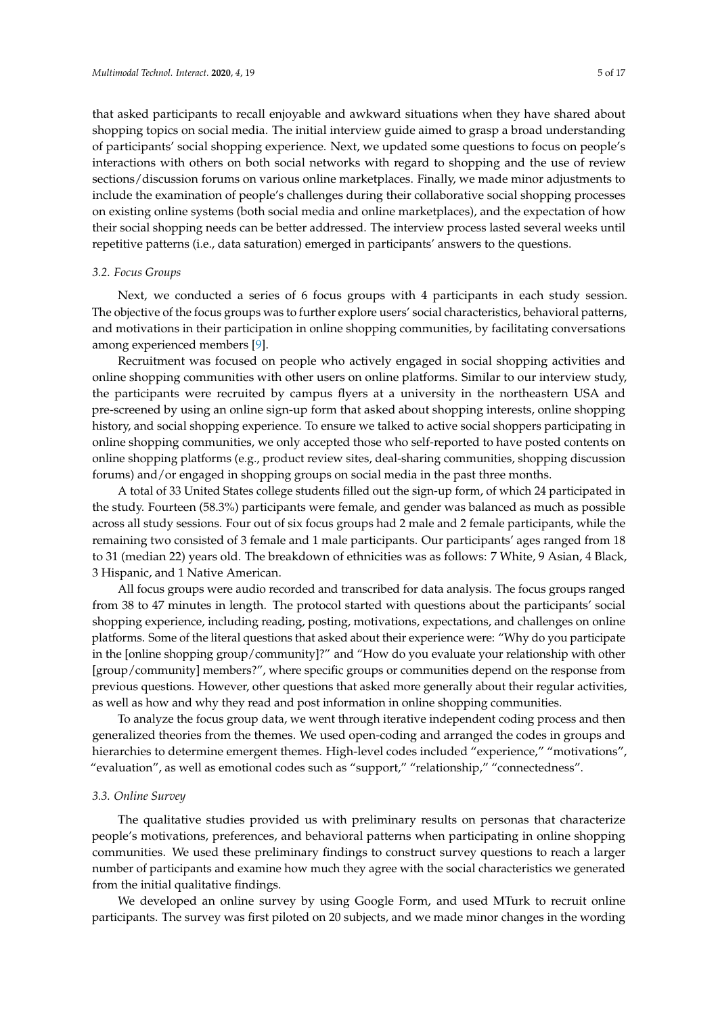that asked participants to recall enjoyable and awkward situations when they have shared about shopping topics on social media. The initial interview guide aimed to grasp a broad understanding of participants' social shopping experience. Next, we updated some questions to focus on people's interactions with others on both social networks with regard to shopping and the use of review sections/discussion forums on various online marketplaces. Finally, we made minor adjustments to include the examination of people's challenges during their collaborative social shopping processes on existing online systems (both social media and online marketplaces), and the expectation of how their social shopping needs can be better addressed. The interview process lasted several weeks until repetitive patterns (i.e., data saturation) emerged in participants' answers to the questions.

#### *3.2. Focus Groups*

Next, we conducted a series of 6 focus groups with 4 participants in each study session. The objective of the focus groups was to further explore users' social characteristics, behavioral patterns, and motivations in their participation in online shopping communities, by facilitating conversations among experienced members [\[9\]](#page-15-7).

Recruitment was focused on people who actively engaged in social shopping activities and online shopping communities with other users on online platforms. Similar to our interview study, the participants were recruited by campus flyers at a university in the northeastern USA and pre-screened by using an online sign-up form that asked about shopping interests, online shopping history, and social shopping experience. To ensure we talked to active social shoppers participating in online shopping communities, we only accepted those who self-reported to have posted contents on online shopping platforms (e.g., product review sites, deal-sharing communities, shopping discussion forums) and/or engaged in shopping groups on social media in the past three months.

A total of 33 United States college students filled out the sign-up form, of which 24 participated in the study. Fourteen (58.3%) participants were female, and gender was balanced as much as possible across all study sessions. Four out of six focus groups had 2 male and 2 female participants, while the remaining two consisted of 3 female and 1 male participants. Our participants' ages ranged from 18 to 31 (median 22) years old. The breakdown of ethnicities was as follows: 7 White, 9 Asian, 4 Black, 3 Hispanic, and 1 Native American.

All focus groups were audio recorded and transcribed for data analysis. The focus groups ranged from 38 to 47 minutes in length. The protocol started with questions about the participants' social shopping experience, including reading, posting, motivations, expectations, and challenges on online platforms. Some of the literal questions that asked about their experience were: "Why do you participate in the [online shopping group/community]?" and "How do you evaluate your relationship with other [group/community] members?", where specific groups or communities depend on the response from previous questions. However, other questions that asked more generally about their regular activities, as well as how and why they read and post information in online shopping communities.

To analyze the focus group data, we went through iterative independent coding process and then generalized theories from the themes. We used open-coding and arranged the codes in groups and hierarchies to determine emergent themes. High-level codes included "experience," "motivations", "evaluation", as well as emotional codes such as "support," "relationship," "connectedness".

# *3.3. Online Survey*

The qualitative studies provided us with preliminary results on personas that characterize people's motivations, preferences, and behavioral patterns when participating in online shopping communities. We used these preliminary findings to construct survey questions to reach a larger number of participants and examine how much they agree with the social characteristics we generated from the initial qualitative findings.

We developed an online survey by using Google Form, and used MTurk to recruit online participants. The survey was first piloted on 20 subjects, and we made minor changes in the wording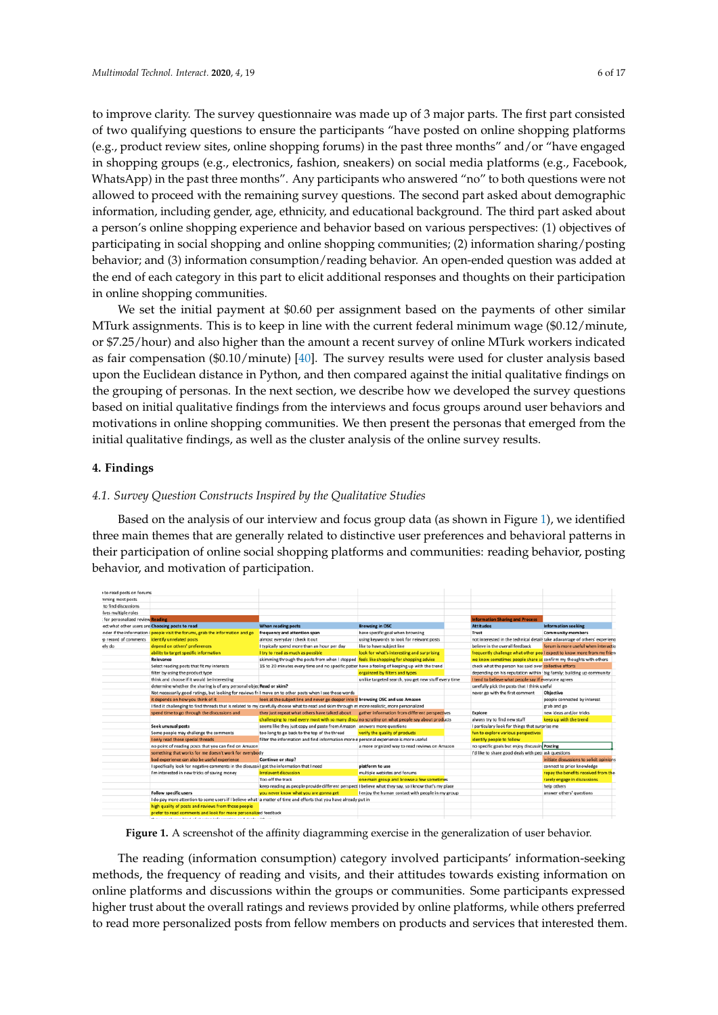to improve clarity. The survey questionnaire was made up of 3 major parts. The first part consisted of two qualifying questions to ensure the participants "have posted on online shopping platforms (e.g., product review sites, online shopping forums) in the past three months" and/or "have engaged in shopping groups (e.g., electronics, fashion, sneakers) on social media platforms (e.g., Facebook, WhatsApp) in the past three months". Any participants who answered "no" to both questions were not allowed to proceed with the remaining survey questions. The second part asked about demographic information, including gender, age, ethnicity, and educational background. The third part asked about a person's online shopping experience and behavior based on various perspectives: (1) objectives of participating in social shopping and online shopping communities; (2) information sharing/posting behavior; and (3) information consumption/reading behavior. An open-ended question was added at the end of each category in this part to elicit additional responses and thoughts on their participation in online shopping communities.

We set the initial payment at \$0.60 per assignment based on the payments of other similar MTurk assignments. This is to keep in line with the current federal minimum wage (\$0.12/minute, or \$7.25/hour) and also higher than the amount a recent survey of online MTurk workers indicated as fair compensation (\$0.10/minute) [\[40\]](#page-16-14). The survey results were used for cluster analysis based upon the Euclidean distance in Python, and then compared against the initial qualitative findings on the grouping of personas. In the next section, we describe how we developed the survey questions based on initial qualitative findings from the interviews and focus groups around user behaviors and motivations in online shopping communities. We then present the personas that emerged from the initial qualitative findings, as well as the cluster analysis of the online survey results.

# **4. Findings**

### *4.1. Survey Question Constructs Inspired by the Qualitative Studies*

Based on the analysis of our interview and focus group data (as shown in Figure [1\)](#page-5-0), we identified three main themes that are generally related to distinctive user preferences and behavioral patterns in their participation of online social shopping platforms and communities: reading behavior, posting behavior, and motivation of participation.

<span id="page-5-0"></span>

**Figure 1.** A screenshot of the affinity diagramming exercise in the generalization of user behavior.

The reading (information consumption) category involved participants' information-seeking methods, the frequency of reading and visits, and their attitudes towards existing information on online platforms and discussions within the groups or communities. Some participants expressed higher trust about the overall ratings and reviews provided by online platforms, while others preferred to read more personalized posts from fellow members on products and services that interested them.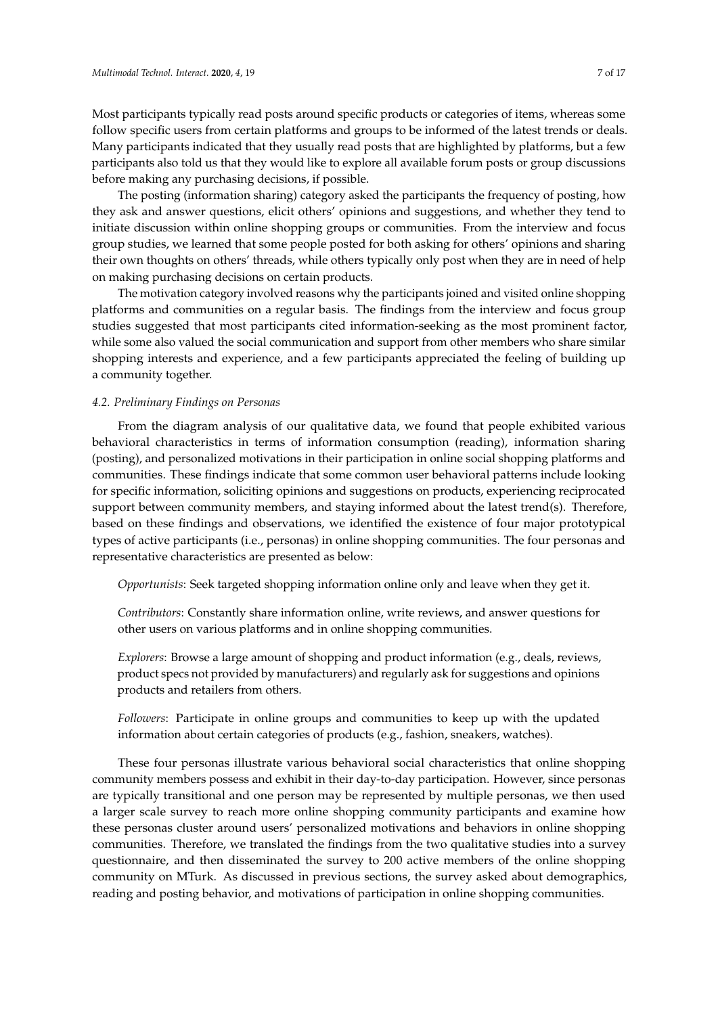Most participants typically read posts around specific products or categories of items, whereas some follow specific users from certain platforms and groups to be informed of the latest trends or deals. Many participants indicated that they usually read posts that are highlighted by platforms, but a few participants also told us that they would like to explore all available forum posts or group discussions before making any purchasing decisions, if possible.

The posting (information sharing) category asked the participants the frequency of posting, how they ask and answer questions, elicit others' opinions and suggestions, and whether they tend to initiate discussion within online shopping groups or communities. From the interview and focus group studies, we learned that some people posted for both asking for others' opinions and sharing their own thoughts on others' threads, while others typically only post when they are in need of help on making purchasing decisions on certain products.

The motivation category involved reasons why the participants joined and visited online shopping platforms and communities on a regular basis. The findings from the interview and focus group studies suggested that most participants cited information-seeking as the most prominent factor, while some also valued the social communication and support from other members who share similar shopping interests and experience, and a few participants appreciated the feeling of building up a community together.

# *4.2. Preliminary Findings on Personas*

From the diagram analysis of our qualitative data, we found that people exhibited various behavioral characteristics in terms of information consumption (reading), information sharing (posting), and personalized motivations in their participation in online social shopping platforms and communities. These findings indicate that some common user behavioral patterns include looking for specific information, soliciting opinions and suggestions on products, experiencing reciprocated support between community members, and staying informed about the latest trend(s). Therefore, based on these findings and observations, we identified the existence of four major prototypical types of active participants (i.e., personas) in online shopping communities. The four personas and representative characteristics are presented as below:

*Opportunists*: Seek targeted shopping information online only and leave when they get it.

*Contributors*: Constantly share information online, write reviews, and answer questions for other users on various platforms and in online shopping communities.

*Explorers*: Browse a large amount of shopping and product information (e.g., deals, reviews, product specs not provided by manufacturers) and regularly ask for suggestions and opinions products and retailers from others.

*Followers*: Participate in online groups and communities to keep up with the updated information about certain categories of products (e.g., fashion, sneakers, watches).

These four personas illustrate various behavioral social characteristics that online shopping community members possess and exhibit in their day-to-day participation. However, since personas are typically transitional and one person may be represented by multiple personas, we then used a larger scale survey to reach more online shopping community participants and examine how these personas cluster around users' personalized motivations and behaviors in online shopping communities. Therefore, we translated the findings from the two qualitative studies into a survey questionnaire, and then disseminated the survey to 200 active members of the online shopping community on MTurk. As discussed in previous sections, the survey asked about demographics, reading and posting behavior, and motivations of participation in online shopping communities.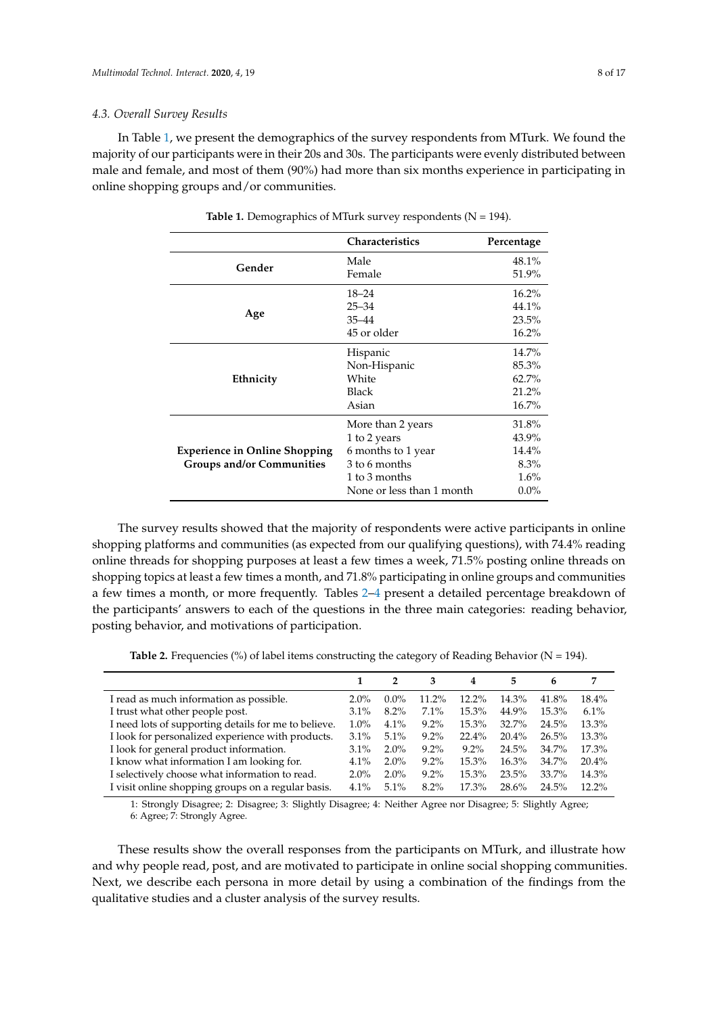### *4.3. Overall Survey Results*

<span id="page-7-0"></span>In Table [1,](#page-7-0) we present the demographics of the survey respondents from MTurk. We found the majority of our participants were in their 20s and 30s. The participants were evenly distributed between male and female, and most of them (90%) had more than six months experience in participating in online shopping groups and/or communities.

|                                      | <b>Characteristics</b>    | Percentage |
|--------------------------------------|---------------------------|------------|
| Gender                               | Male                      | 48.1%      |
|                                      | Female                    | 51.9%      |
|                                      | $18 - 24$                 | $16.2\%$   |
|                                      | $25 - 34$                 | 44.1%      |
| Age                                  | $35 - 44$                 | 23.5%      |
|                                      | 45 or older               | 16.2%      |
|                                      | Hispanic                  | 14.7%      |
|                                      | Non-Hispanic              | 85.3%      |
| Ethnicity                            | White                     | 62.7%      |
|                                      | <b>Black</b>              | 21.2%      |
|                                      | Asian                     | 16.7%      |
|                                      | More than 2 years         | 31.8%      |
|                                      | 1 to 2 years              | 43.9%      |
| <b>Experience in Online Shopping</b> | 6 months to 1 year        | 14.4%      |
| <b>Groups and/or Communities</b>     | 3 to 6 months             | 8.3%       |
|                                      | 1 to 3 months             | 1.6%       |
|                                      | None or less than 1 month | $0.0\%$    |

Table 1. Demographics of MTurk survey respondents (N = 194).

The survey results showed that the majority of respondents were active participants in online shopping platforms and communities (as expected from our qualifying questions), with 74.4% reading online threads for shopping purposes at least a few times a week, 71.5% posting online threads on shopping topics at least a few times a month, and 71.8% participating in online groups and communities a few times a month, or more frequently. Tables [2](#page-7-1)[–4](#page-8-0) present a detailed percentage breakdown of the participants' answers to each of the questions in the three main categories: reading behavior, posting behavior, and motivations of participation.

**Table 2.** Frequencies (%) of label items constructing the category of Reading Behavior ( $N = 194$ ).

<span id="page-7-1"></span>

|                                                      |         | 2       | 3       | 4       | 5     | 6     |          |
|------------------------------------------------------|---------|---------|---------|---------|-------|-------|----------|
| I read as much information as possible.              | $2.0\%$ | $0.0\%$ | 11.2%   | 12.2%   | 14.3% | 41.8% | $18.4\%$ |
| I trust what other people post.                      | $3.1\%$ | 8.2%    | $7.1\%$ | 15.3%   | 44.9% | 15.3% | 6.1%     |
| I need lots of supporting details for me to believe. | $1.0\%$ | 4.1%    | $9.2\%$ | 15.3%   | 32.7% | 24.5% | 13.3%    |
| I look for personalized experience with products.    | $3.1\%$ | 5.1%    | $9.2\%$ | 22.4%   | 20.4% | 26.5% | 13.3%    |
| I look for general product information.              | $3.1\%$ | $2.0\%$ | $9.2\%$ | $9.2\%$ | 24.5% | 34.7% | 17.3%    |
| I know what information I am looking for.            | 4.1%    | $2.0\%$ | $9.2\%$ | 15.3%   | 16.3% | 34.7% | 20.4%    |
| I selectively choose what information to read.       | $2.0\%$ | $2.0\%$ | $9.2\%$ | 15.3%   | 23.5% | 33.7% | 14.3%    |
| I visit online shopping groups on a regular basis.   | $4.1\%$ | $5.1\%$ | $8.2\%$ | 17.3%   | 28.6% | 24.5% | $12.2\%$ |

1: Strongly Disagree; 2: Disagree; 3: Slightly Disagree; 4: Neither Agree nor Disagree; 5: Slightly Agree; 6: Agree; 7: Strongly Agree.

These results show the overall responses from the participants on MTurk, and illustrate how and why people read, post, and are motivated to participate in online social shopping communities. Next, we describe each persona in more detail by using a combination of the findings from the qualitative studies and a cluster analysis of the survey results.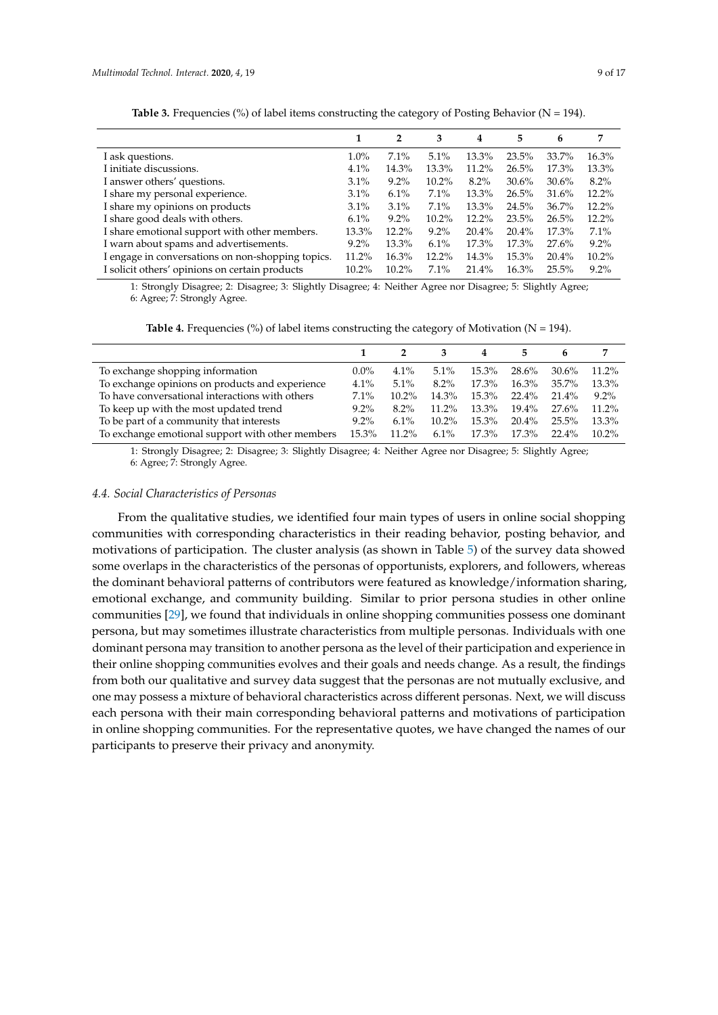|          | $\overline{2}$ | 3        | 4        | 5     | 6     | 7        |
|----------|----------------|----------|----------|-------|-------|----------|
| $1.0\%$  | 7.1%           | 5.1%     | 13.3%    | 23.5% | 33.7% | 16.3%    |
| 4.1%     | 14.3%          | 13.3%    | 11.2%    | 26.5% | 17.3% | 13.3%    |
| $3.1\%$  | $9.2\%$        | $10.2\%$ | $8.2\%$  | 30.6% | 30.6% | $8.2\%$  |
| $3.1\%$  | 6.1%           | 7.1%     | 13.3%    | 26.5% | 31.6% | $12.2\%$ |
| $3.1\%$  | 3.1%           | 7.1%     | 13.3%    | 24.5% | 36.7% | $12.2\%$ |
| 6.1%     | $9.2\%$        | $10.2\%$ | $12.2\%$ | 23.5% | 26.5% | $12.2\%$ |
| 13.3%    | $12.2\%$       | $9.2\%$  | 20.4%    | 20.4% | 17.3% | 7.1%     |
| $9.2\%$  | 13.3%          | 6.1%     | 17.3%    | 17.3% | 27.6% | $9.2\%$  |
| 11.2%    | $16.3\%$       | $12.2\%$ | 14.3%    | 15.3% | 20.4% | 10.2%    |
| $10.2\%$ | $10.2\%$       | 7.1%     | 21.4%    | 16.3% | 25.5% | $9.2\%$  |
|          |                |          |          |       |       |          |

Table 3. Frequencies (%) of label items constructing the category of Posting Behavior (N = 194).

1: Strongly Disagree; 2: Disagree; 3: Slightly Disagree; 4: Neither Agree nor Disagree; 5: Slightly Agree; 6: Agree; 7: Strongly Agree.

**Table 4.** Frequencies (%) of label items constructing the category of Motivation ( $N = 194$ ).

<span id="page-8-0"></span>

|                                                  |         |          |          | 4     | 5.       | h        |          |
|--------------------------------------------------|---------|----------|----------|-------|----------|----------|----------|
| To exchange shopping information                 | $0.0\%$ | 4.1%     | $5.1\%$  | 15.3% | 28.6%    | 30.6%    | $11.2\%$ |
| To exchange opinions on products and experience  | $4.1\%$ | $5.1\%$  | $8.2\%$  | 17.3% | 16.3%    | 35.7%    | 13.3%    |
| To have conversational interactions with others  | $7.1\%$ | $10.2\%$ | 14.3%    | 15.3% | $22.4\%$ | 21.4%    | $9.2\%$  |
| To keep up with the most updated trend           | $9.2\%$ | $8.2\%$  | $11.2\%$ | 13.3% | 19.4%    | 27.6%    | $11.2\%$ |
| To be part of a community that interests         | $9.2\%$ | $6.1\%$  | $10.2\%$ | 15.3% | $20.4\%$ | $25.5\%$ | 13.3%    |
| To exchange emotional support with other members | 15.3%   | 11.2%    | $6.1\%$  | 17.3% | $17.3\%$ | $22.4\%$ | $10.2\%$ |

1: Strongly Disagree; 2: Disagree; 3: Slightly Disagree; 4: Neither Agree nor Disagree; 5: Slightly Agree; 6: Agree; 7: Strongly Agree.

# *4.4. Social Characteristics of Personas*

From the qualitative studies, we identified four main types of users in online social shopping communities with corresponding characteristics in their reading behavior, posting behavior, and motivations of participation. The cluster analysis (as shown in Table [5\)](#page-9-0) of the survey data showed some overlaps in the characteristics of the personas of opportunists, explorers, and followers, whereas the dominant behavioral patterns of contributors were featured as knowledge/information sharing, emotional exchange, and community building. Similar to prior persona studies in other online communities [\[29\]](#page-16-3), we found that individuals in online shopping communities possess one dominant persona, but may sometimes illustrate characteristics from multiple personas. Individuals with one dominant persona may transition to another persona as the level of their participation and experience in their online shopping communities evolves and their goals and needs change. As a result, the findings from both our qualitative and survey data suggest that the personas are not mutually exclusive, and one may possess a mixture of behavioral characteristics across different personas. Next, we will discuss each persona with their main corresponding behavioral patterns and motivations of participation in online shopping communities. For the representative quotes, we have changed the names of our participants to preserve their privacy and anonymity.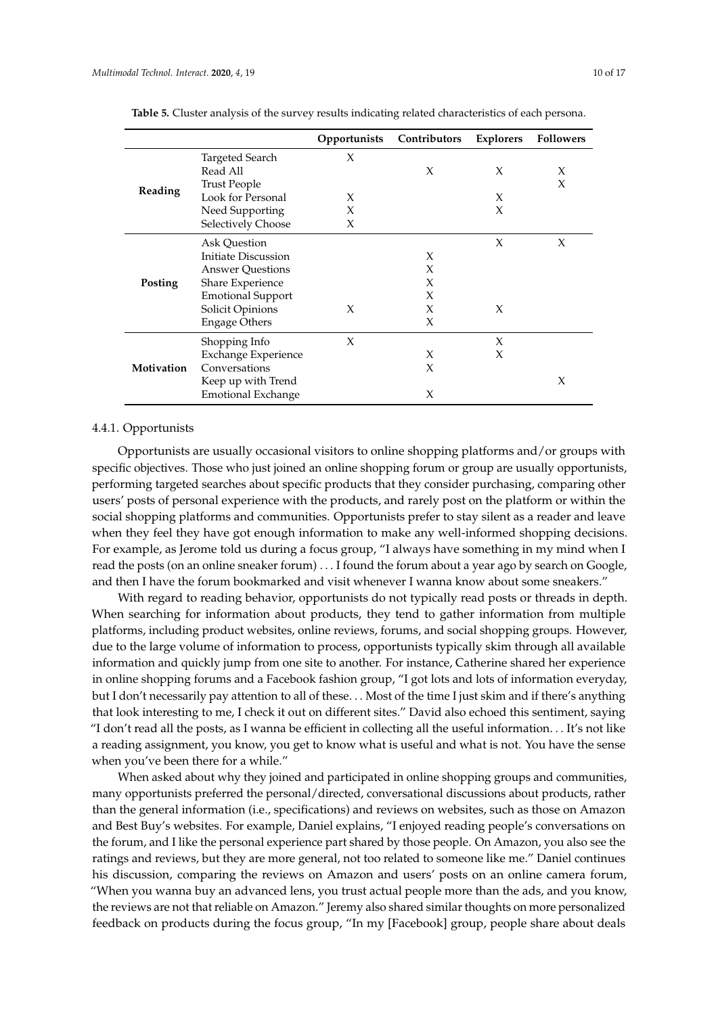|            |                            | Opportunists | Contributors | Explorers | <b>Followers</b> |
|------------|----------------------------|--------------|--------------|-----------|------------------|
|            | Targeted Search            | X            |              |           |                  |
|            | Read All                   |              | X            | X         | X                |
| Reading    | <b>Trust People</b>        |              |              |           | X                |
|            | Look for Personal          | X            |              | X         |                  |
|            | Need Supporting            | $\chi$       |              | $\chi$    |                  |
|            | Selectively Choose         | X            |              |           |                  |
|            | Ask Question               |              |              | X         | X                |
| Posting    | Initiate Discussion        |              | $\chi$       |           |                  |
|            | <b>Answer Questions</b>    |              | X            |           |                  |
|            | Share Experience           |              | X            |           |                  |
|            | <b>Emotional Support</b>   |              | X            |           |                  |
|            | Solicit Opinions           | X            | X            | X         |                  |
|            | <b>Engage Others</b>       |              | X            |           |                  |
|            | Shopping Info              | X            |              | X         |                  |
| Motivation | <b>Exchange Experience</b> |              | X            | X         |                  |
|            | Conversations              |              | X            |           |                  |
|            | Keep up with Trend         |              |              |           | X                |
|            | <b>Emotional Exchange</b>  |              | X            |           |                  |

<span id="page-9-0"></span>**Table 5.** Cluster analysis of the survey results indicating related characteristics of each persona.

# 4.4.1. Opportunists

Opportunists are usually occasional visitors to online shopping platforms and/or groups with specific objectives. Those who just joined an online shopping forum or group are usually opportunists, performing targeted searches about specific products that they consider purchasing, comparing other users' posts of personal experience with the products, and rarely post on the platform or within the social shopping platforms and communities. Opportunists prefer to stay silent as a reader and leave when they feel they have got enough information to make any well-informed shopping decisions. For example, as Jerome told us during a focus group, "I always have something in my mind when I read the posts (on an online sneaker forum) . . . I found the forum about a year ago by search on Google, and then I have the forum bookmarked and visit whenever I wanna know about some sneakers."

With regard to reading behavior, opportunists do not typically read posts or threads in depth. When searching for information about products, they tend to gather information from multiple platforms, including product websites, online reviews, forums, and social shopping groups. However, due to the large volume of information to process, opportunists typically skim through all available information and quickly jump from one site to another. For instance, Catherine shared her experience in online shopping forums and a Facebook fashion group, "I got lots and lots of information everyday, but I don't necessarily pay attention to all of these. . . Most of the time I just skim and if there's anything that look interesting to me, I check it out on different sites." David also echoed this sentiment, saying "I don't read all the posts, as I wanna be efficient in collecting all the useful information. . . It's not like a reading assignment, you know, you get to know what is useful and what is not. You have the sense when you've been there for a while."

When asked about why they joined and participated in online shopping groups and communities, many opportunists preferred the personal/directed, conversational discussions about products, rather than the general information (i.e., specifications) and reviews on websites, such as those on Amazon and Best Buy's websites. For example, Daniel explains, "I enjoyed reading people's conversations on the forum, and I like the personal experience part shared by those people. On Amazon, you also see the ratings and reviews, but they are more general, not too related to someone like me." Daniel continues his discussion, comparing the reviews on Amazon and users' posts on an online camera forum, "When you wanna buy an advanced lens, you trust actual people more than the ads, and you know, the reviews are not that reliable on Amazon." Jeremy also shared similar thoughts on more personalized feedback on products during the focus group, "In my [Facebook] group, people share about deals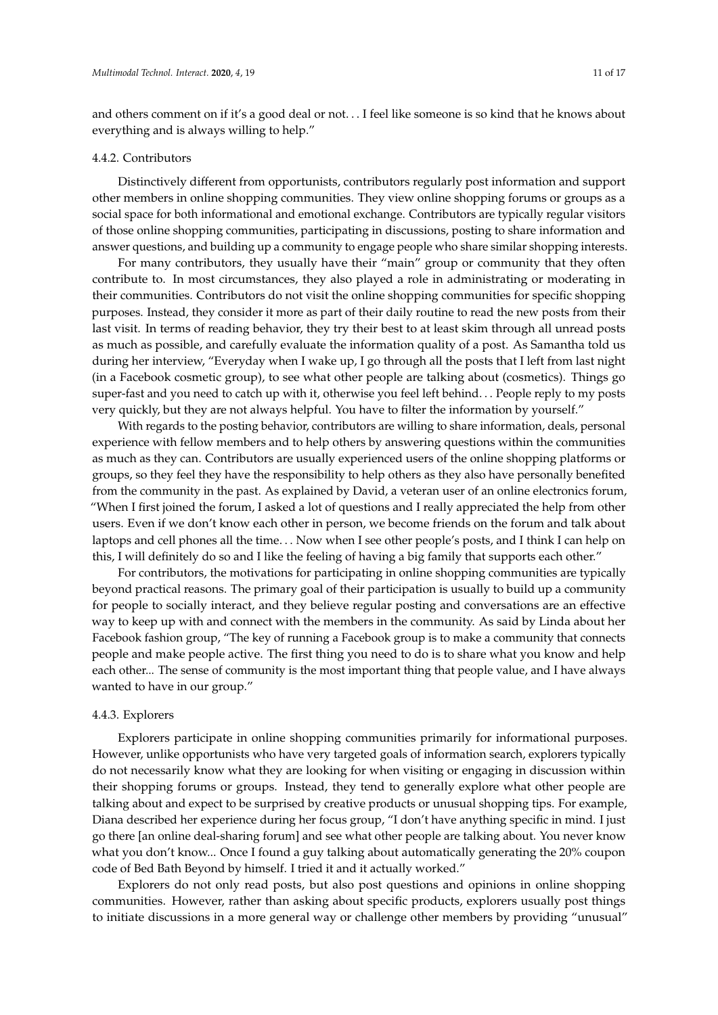and others comment on if it's a good deal or not. . . I feel like someone is so kind that he knows about everything and is always willing to help."

## 4.4.2. Contributors

Distinctively different from opportunists, contributors regularly post information and support other members in online shopping communities. They view online shopping forums or groups as a social space for both informational and emotional exchange. Contributors are typically regular visitors of those online shopping communities, participating in discussions, posting to share information and answer questions, and building up a community to engage people who share similar shopping interests.

For many contributors, they usually have their "main" group or community that they often contribute to. In most circumstances, they also played a role in administrating or moderating in their communities. Contributors do not visit the online shopping communities for specific shopping purposes. Instead, they consider it more as part of their daily routine to read the new posts from their last visit. In terms of reading behavior, they try their best to at least skim through all unread posts as much as possible, and carefully evaluate the information quality of a post. As Samantha told us during her interview, "Everyday when I wake up, I go through all the posts that I left from last night (in a Facebook cosmetic group), to see what other people are talking about (cosmetics). Things go super-fast and you need to catch up with it, otherwise you feel left behind. . . People reply to my posts very quickly, but they are not always helpful. You have to filter the information by yourself."

With regards to the posting behavior, contributors are willing to share information, deals, personal experience with fellow members and to help others by answering questions within the communities as much as they can. Contributors are usually experienced users of the online shopping platforms or groups, so they feel they have the responsibility to help others as they also have personally benefited from the community in the past. As explained by David, a veteran user of an online electronics forum, "When I first joined the forum, I asked a lot of questions and I really appreciated the help from other users. Even if we don't know each other in person, we become friends on the forum and talk about laptops and cell phones all the time. . . Now when I see other people's posts, and I think I can help on this, I will definitely do so and I like the feeling of having a big family that supports each other."

For contributors, the motivations for participating in online shopping communities are typically beyond practical reasons. The primary goal of their participation is usually to build up a community for people to socially interact, and they believe regular posting and conversations are an effective way to keep up with and connect with the members in the community. As said by Linda about her Facebook fashion group, "The key of running a Facebook group is to make a community that connects people and make people active. The first thing you need to do is to share what you know and help each other... The sense of community is the most important thing that people value, and I have always wanted to have in our group."

#### 4.4.3. Explorers

Explorers participate in online shopping communities primarily for informational purposes. However, unlike opportunists who have very targeted goals of information search, explorers typically do not necessarily know what they are looking for when visiting or engaging in discussion within their shopping forums or groups. Instead, they tend to generally explore what other people are talking about and expect to be surprised by creative products or unusual shopping tips. For example, Diana described her experience during her focus group, "I don't have anything specific in mind. I just go there [an online deal-sharing forum] and see what other people are talking about. You never know what you don't know... Once I found a guy talking about automatically generating the 20% coupon code of Bed Bath Beyond by himself. I tried it and it actually worked."

Explorers do not only read posts, but also post questions and opinions in online shopping communities. However, rather than asking about specific products, explorers usually post things to initiate discussions in a more general way or challenge other members by providing "unusual"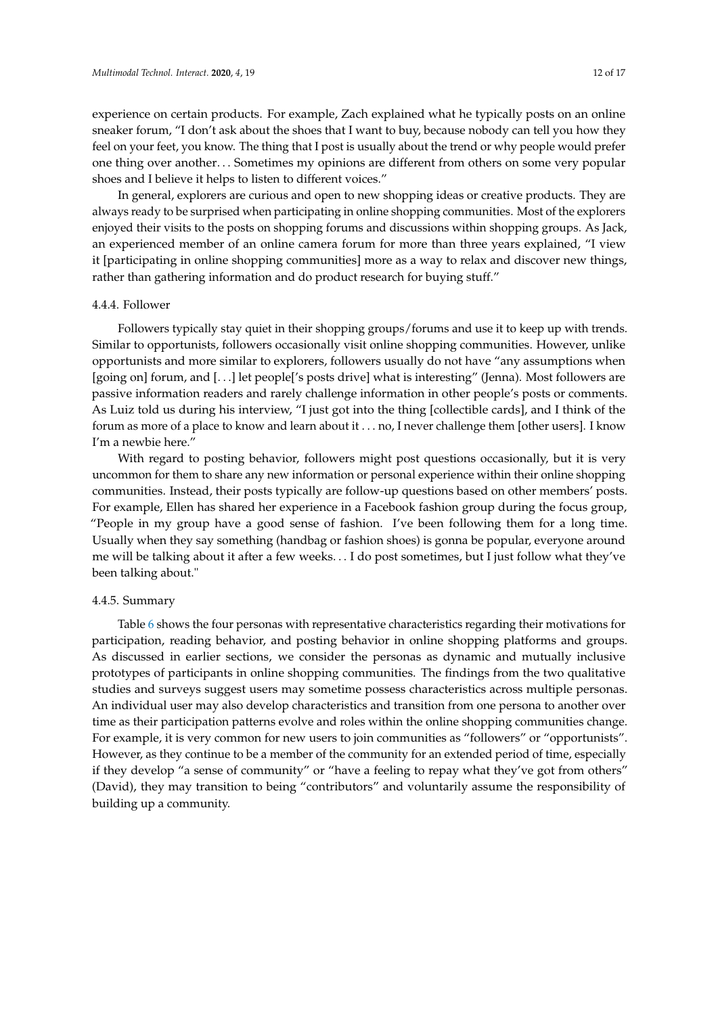experience on certain products. For example, Zach explained what he typically posts on an online sneaker forum, "I don't ask about the shoes that I want to buy, because nobody can tell you how they feel on your feet, you know. The thing that I post is usually about the trend or why people would prefer one thing over another. . . Sometimes my opinions are different from others on some very popular shoes and I believe it helps to listen to different voices."

In general, explorers are curious and open to new shopping ideas or creative products. They are always ready to be surprised when participating in online shopping communities. Most of the explorers enjoyed their visits to the posts on shopping forums and discussions within shopping groups. As Jack, an experienced member of an online camera forum for more than three years explained, "I view it [participating in online shopping communities] more as a way to relax and discover new things, rather than gathering information and do product research for buying stuff."

## 4.4.4. Follower

Followers typically stay quiet in their shopping groups/forums and use it to keep up with trends. Similar to opportunists, followers occasionally visit online shopping communities. However, unlike opportunists and more similar to explorers, followers usually do not have "any assumptions when [going on] forum, and [. . .] let people['s posts drive] what is interesting" (Jenna). Most followers are passive information readers and rarely challenge information in other people's posts or comments. As Luiz told us during his interview, "I just got into the thing [collectible cards], and I think of the forum as more of a place to know and learn about it . . . no, I never challenge them [other users]. I know I'm a newbie here."

With regard to posting behavior, followers might post questions occasionally, but it is very uncommon for them to share any new information or personal experience within their online shopping communities. Instead, their posts typically are follow-up questions based on other members' posts. For example, Ellen has shared her experience in a Facebook fashion group during the focus group, "People in my group have a good sense of fashion. I've been following them for a long time. Usually when they say something (handbag or fashion shoes) is gonna be popular, everyone around me will be talking about it after a few weeks. . . I do post sometimes, but I just follow what they've been talking about."

#### 4.4.5. Summary

Table [6](#page-12-0) shows the four personas with representative characteristics regarding their motivations for participation, reading behavior, and posting behavior in online shopping platforms and groups. As discussed in earlier sections, we consider the personas as dynamic and mutually inclusive prototypes of participants in online shopping communities. The findings from the two qualitative studies and surveys suggest users may sometime possess characteristics across multiple personas. An individual user may also develop characteristics and transition from one persona to another over time as their participation patterns evolve and roles within the online shopping communities change. For example, it is very common for new users to join communities as "followers" or "opportunists". However, as they continue to be a member of the community for an extended period of time, especially if they develop "a sense of community" or "have a feeling to repay what they've got from others" (David), they may transition to being "contributors" and voluntarily assume the responsibility of building up a community.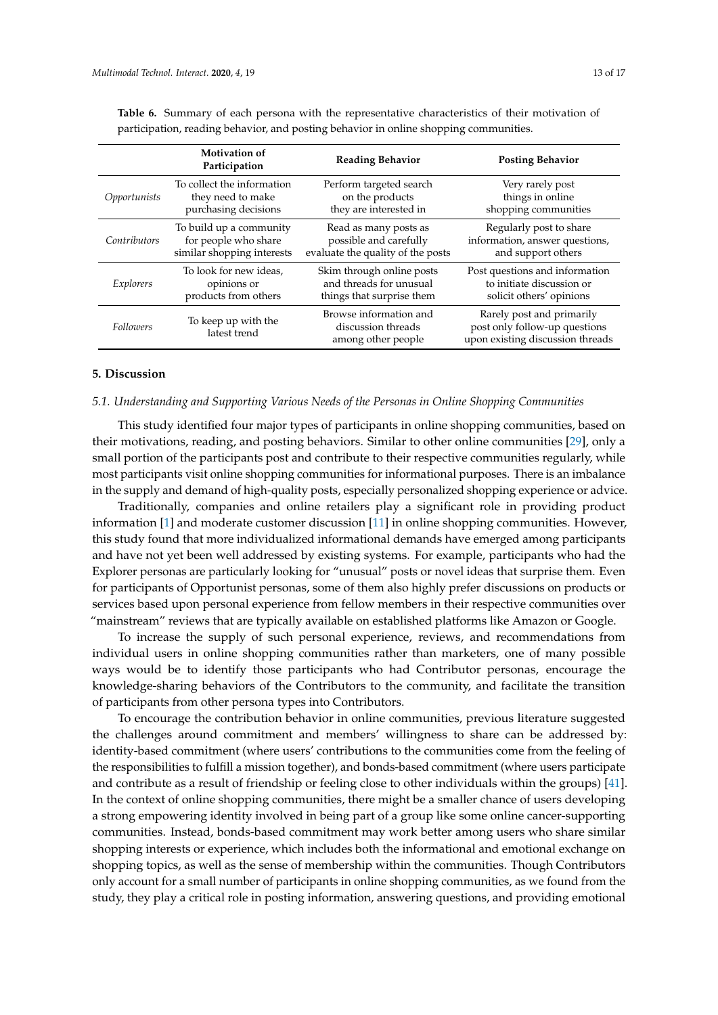|              | <b>Motivation of</b><br>Participation | <b>Reading Behavior</b>                                            | <b>Posting Behavior</b>                                                                        |
|--------------|---------------------------------------|--------------------------------------------------------------------|------------------------------------------------------------------------------------------------|
| Opportunists | To collect the information            | Perform targeted search                                            | Very rarely post                                                                               |
|              | they need to make                     | on the products                                                    | things in online                                                                               |
|              | purchasing decisions                  | they are interested in                                             | shopping communities                                                                           |
| Contributors | To build up a community               | Read as many posts as                                              | Regularly post to share                                                                        |
|              | for people who share                  | possible and carefully                                             | information, answer questions,                                                                 |
|              | similar shopping interests            | evaluate the quality of the posts                                  | and support others                                                                             |
| Explorers    | To look for new ideas,                | Skim through online posts                                          | Post questions and information                                                                 |
|              | opinions or                           | and threads for unusual                                            | to initiate discussion or                                                                      |
|              | products from others                  | things that surprise them                                          | solicit others' opinions                                                                       |
| Followers    | To keep up with the<br>latest trend   | Browse information and<br>discussion threads<br>among other people | Rarely post and primarily<br>post only follow-up questions<br>upon existing discussion threads |

<span id="page-12-0"></span>**Table 6.** Summary of each persona with the representative characteristics of their motivation of participation, reading behavior, and posting behavior in online shopping communities.

# **5. Discussion**

# *5.1. Understanding and Supporting Various Needs of the Personas in Online Shopping Communities*

This study identified four major types of participants in online shopping communities, based on their motivations, reading, and posting behaviors. Similar to other online communities [\[29\]](#page-16-3), only a small portion of the participants post and contribute to their respective communities regularly, while most participants visit online shopping communities for informational purposes. There is an imbalance in the supply and demand of high-quality posts, especially personalized shopping experience or advice.

Traditionally, companies and online retailers play a significant role in providing product information [\[1\]](#page-14-0) and moderate customer discussion [\[11\]](#page-15-9) in online shopping communities. However, this study found that more individualized informational demands have emerged among participants and have not yet been well addressed by existing systems. For example, participants who had the Explorer personas are particularly looking for "unusual" posts or novel ideas that surprise them. Even for participants of Opportunist personas, some of them also highly prefer discussions on products or services based upon personal experience from fellow members in their respective communities over "mainstream" reviews that are typically available on established platforms like Amazon or Google.

To increase the supply of such personal experience, reviews, and recommendations from individual users in online shopping communities rather than marketers, one of many possible ways would be to identify those participants who had Contributor personas, encourage the knowledge-sharing behaviors of the Contributors to the community, and facilitate the transition of participants from other persona types into Contributors.

To encourage the contribution behavior in online communities, previous literature suggested the challenges around commitment and members' willingness to share can be addressed by: identity-based commitment (where users' contributions to the communities come from the feeling of the responsibilities to fulfill a mission together), and bonds-based commitment (where users participate and contribute as a result of friendship or feeling close to other individuals within the groups) [\[41\]](#page-16-15). In the context of online shopping communities, there might be a smaller chance of users developing a strong empowering identity involved in being part of a group like some online cancer-supporting communities. Instead, bonds-based commitment may work better among users who share similar shopping interests or experience, which includes both the informational and emotional exchange on shopping topics, as well as the sense of membership within the communities. Though Contributors only account for a small number of participants in online shopping communities, as we found from the study, they play a critical role in posting information, answering questions, and providing emotional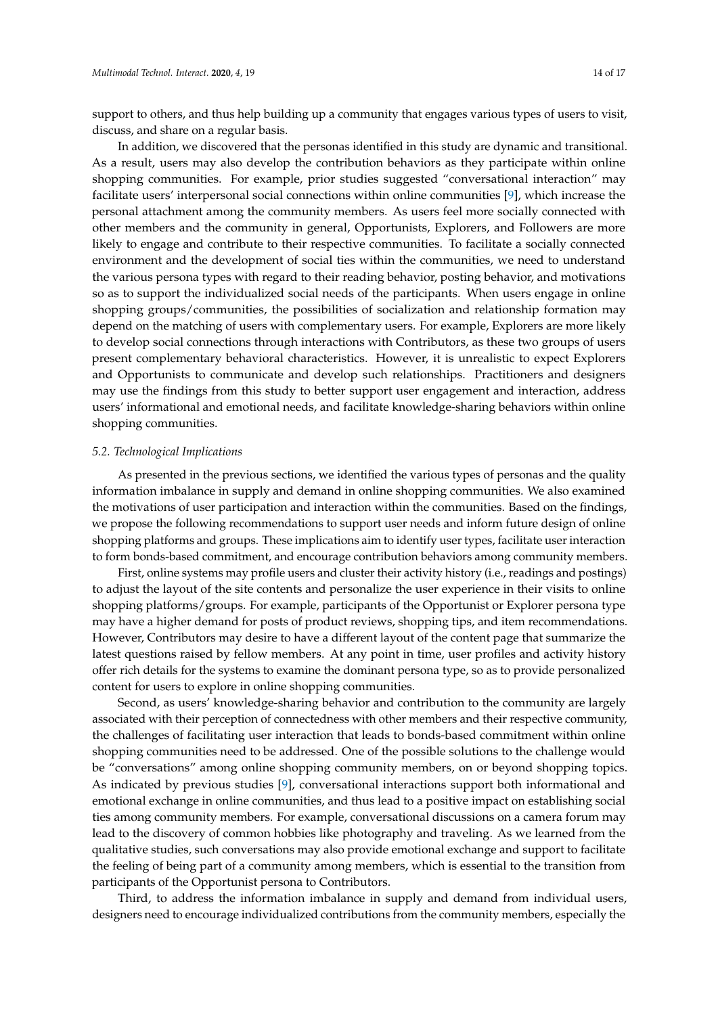support to others, and thus help building up a community that engages various types of users to visit, discuss, and share on a regular basis.

In addition, we discovered that the personas identified in this study are dynamic and transitional. As a result, users may also develop the contribution behaviors as they participate within online shopping communities. For example, prior studies suggested "conversational interaction" may facilitate users' interpersonal social connections within online communities [\[9\]](#page-15-7), which increase the personal attachment among the community members. As users feel more socially connected with other members and the community in general, Opportunists, Explorers, and Followers are more likely to engage and contribute to their respective communities. To facilitate a socially connected environment and the development of social ties within the communities, we need to understand the various persona types with regard to their reading behavior, posting behavior, and motivations so as to support the individualized social needs of the participants. When users engage in online shopping groups/communities, the possibilities of socialization and relationship formation may depend on the matching of users with complementary users. For example, Explorers are more likely to develop social connections through interactions with Contributors, as these two groups of users present complementary behavioral characteristics. However, it is unrealistic to expect Explorers and Opportunists to communicate and develop such relationships. Practitioners and designers may use the findings from this study to better support user engagement and interaction, address users' informational and emotional needs, and facilitate knowledge-sharing behaviors within online shopping communities.

#### *5.2. Technological Implications*

As presented in the previous sections, we identified the various types of personas and the quality information imbalance in supply and demand in online shopping communities. We also examined the motivations of user participation and interaction within the communities. Based on the findings, we propose the following recommendations to support user needs and inform future design of online shopping platforms and groups. These implications aim to identify user types, facilitate user interaction to form bonds-based commitment, and encourage contribution behaviors among community members.

First, online systems may profile users and cluster their activity history (i.e., readings and postings) to adjust the layout of the site contents and personalize the user experience in their visits to online shopping platforms/groups. For example, participants of the Opportunist or Explorer persona type may have a higher demand for posts of product reviews, shopping tips, and item recommendations. However, Contributors may desire to have a different layout of the content page that summarize the latest questions raised by fellow members. At any point in time, user profiles and activity history offer rich details for the systems to examine the dominant persona type, so as to provide personalized content for users to explore in online shopping communities.

Second, as users' knowledge-sharing behavior and contribution to the community are largely associated with their perception of connectedness with other members and their respective community, the challenges of facilitating user interaction that leads to bonds-based commitment within online shopping communities need to be addressed. One of the possible solutions to the challenge would be "conversations" among online shopping community members, on or beyond shopping topics. As indicated by previous studies [\[9\]](#page-15-7), conversational interactions support both informational and emotional exchange in online communities, and thus lead to a positive impact on establishing social ties among community members. For example, conversational discussions on a camera forum may lead to the discovery of common hobbies like photography and traveling. As we learned from the qualitative studies, such conversations may also provide emotional exchange and support to facilitate the feeling of being part of a community among members, which is essential to the transition from participants of the Opportunist persona to Contributors.

Third, to address the information imbalance in supply and demand from individual users, designers need to encourage individualized contributions from the community members, especially the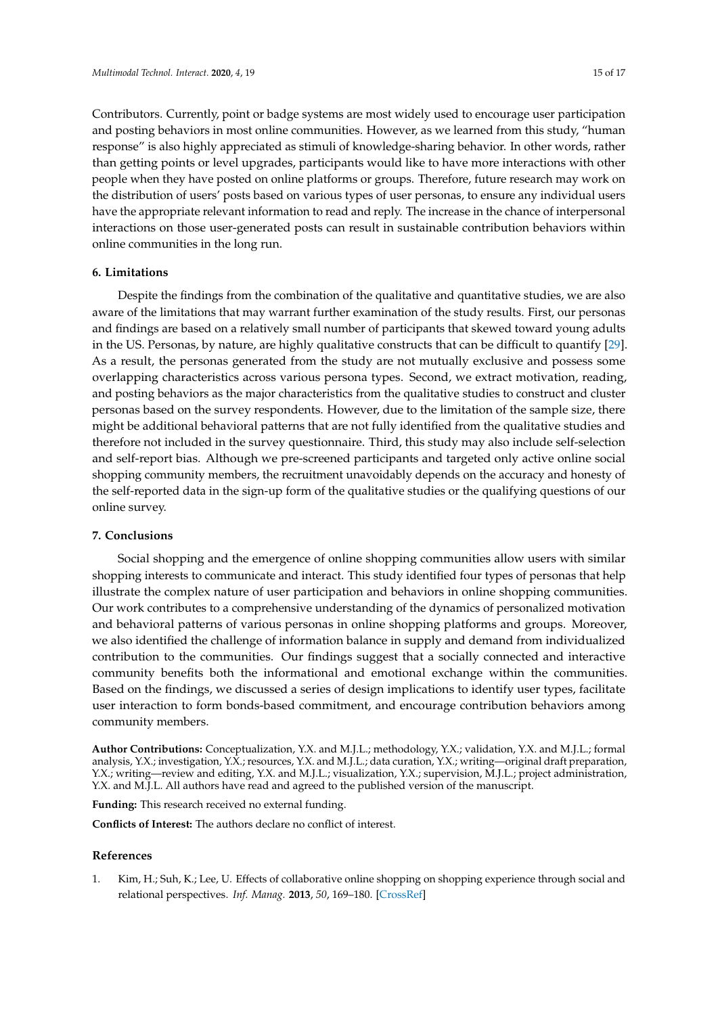Contributors. Currently, point or badge systems are most widely used to encourage user participation

and posting behaviors in most online communities. However, as we learned from this study, "human response" is also highly appreciated as stimuli of knowledge-sharing behavior. In other words, rather than getting points or level upgrades, participants would like to have more interactions with other people when they have posted on online platforms or groups. Therefore, future research may work on the distribution of users' posts based on various types of user personas, to ensure any individual users have the appropriate relevant information to read and reply. The increase in the chance of interpersonal interactions on those user-generated posts can result in sustainable contribution behaviors within online communities in the long run.

# **6. Limitations**

Despite the findings from the combination of the qualitative and quantitative studies, we are also aware of the limitations that may warrant further examination of the study results. First, our personas and findings are based on a relatively small number of participants that skewed toward young adults in the US. Personas, by nature, are highly qualitative constructs that can be difficult to quantify [\[29\]](#page-16-3). As a result, the personas generated from the study are not mutually exclusive and possess some overlapping characteristics across various persona types. Second, we extract motivation, reading, and posting behaviors as the major characteristics from the qualitative studies to construct and cluster personas based on the survey respondents. However, due to the limitation of the sample size, there might be additional behavioral patterns that are not fully identified from the qualitative studies and therefore not included in the survey questionnaire. Third, this study may also include self-selection and self-report bias. Although we pre-screened participants and targeted only active online social shopping community members, the recruitment unavoidably depends on the accuracy and honesty of the self-reported data in the sign-up form of the qualitative studies or the qualifying questions of our online survey.

# **7. Conclusions**

Social shopping and the emergence of online shopping communities allow users with similar shopping interests to communicate and interact. This study identified four types of personas that help illustrate the complex nature of user participation and behaviors in online shopping communities. Our work contributes to a comprehensive understanding of the dynamics of personalized motivation and behavioral patterns of various personas in online shopping platforms and groups. Moreover, we also identified the challenge of information balance in supply and demand from individualized contribution to the communities. Our findings suggest that a socially connected and interactive community benefits both the informational and emotional exchange within the communities. Based on the findings, we discussed a series of design implications to identify user types, facilitate user interaction to form bonds-based commitment, and encourage contribution behaviors among community members.

**Author Contributions:** Conceptualization, Y.X. and M.J.L.; methodology, Y.X.; validation, Y.X. and M.J.L.; formal analysis, Y.X.; investigation, Y.X.; resources, Y.X. and M.J.L.; data curation, Y.X.; writing—original draft preparation, Y.X.; writing—review and editing, Y.X. and M.J.L.; visualization, Y.X.; supervision, M.J.L.; project administration, Y.X. and M.J.L. All authors have read and agreed to the published version of the manuscript.

**Funding:** This research received no external funding.

**Conflicts of Interest:** The authors declare no conflict of interest.

# **References**

<span id="page-14-0"></span>1. Kim, H.; Suh, K.; Lee, U. Effects of collaborative online shopping on shopping experience through social and relational perspectives. *Inf. Manag.* **2013**, *50*, 169–180. [\[CrossRef\]](http://dx.doi.org/10.1016/j.im.2013.02.003)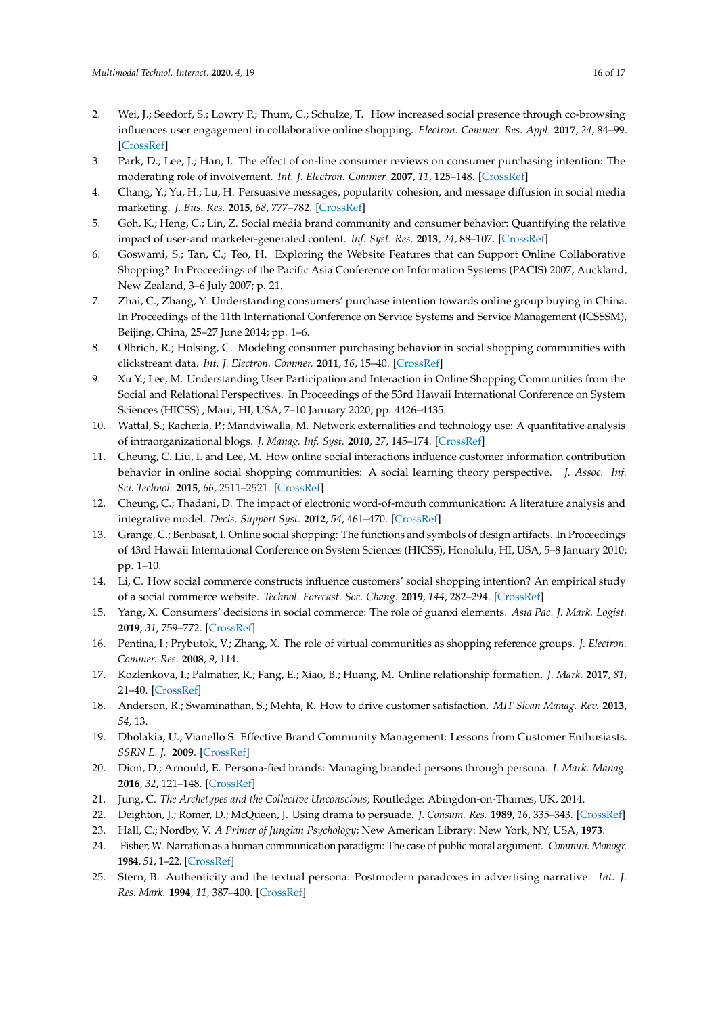- <span id="page-15-0"></span>2. Wei, J.; Seedorf, S.; Lowry P.; Thum, C.; Schulze, T. How increased social presence through co-browsing influences user engagement in collaborative online shopping. *Electron. Commer. Res. Appl.* **2017**, *24*, 84–99. [\[CrossRef\]](http://dx.doi.org/10.1016/j.elerap.2017.07.002)
- <span id="page-15-1"></span>3. Park, D.; Lee, J.; Han, I. The effect of on-line consumer reviews on consumer purchasing intention: The moderating role of involvement. *Int. J. Electron. Commer.* **2007**, *11*, 125–148. [\[CrossRef\]](http://dx.doi.org/10.2753/JEC1086-4415110405)
- <span id="page-15-2"></span>4. Chang, Y.; Yu, H.; Lu, H. Persuasive messages, popularity cohesion, and message diffusion in social media marketing. *J. Bus. Res.* **2015**, *68*, 777–782. [\[CrossRef\]](http://dx.doi.org/10.1016/j.jbusres.2014.11.027)
- <span id="page-15-3"></span>5. Goh, K.; Heng, C.; Lin, Z. Social media brand community and consumer behavior: Quantifying the relative impact of user-and marketer-generated content. *Inf. Syst. Res.* **2013**, *24*, 88–107. [\[CrossRef\]](http://dx.doi.org/10.1287/isre.1120.0469)
- <span id="page-15-4"></span>6. Goswami, S.; Tan, C.; Teo, H. Exploring the Website Features that can Support Online Collaborative Shopping? In Proceedings of the Pacific Asia Conference on Information Systems (PACIS) 2007, Auckland, New Zealand, 3–6 July 2007; p. 21.
- <span id="page-15-5"></span>7. Zhai, C.; Zhang, Y. Understanding consumers' purchase intention towards online group buying in China. In Proceedings of the 11th International Conference on Service Systems and Service Management (ICSSSM), Beijing, China, 25–27 June 2014; pp. 1–6.
- <span id="page-15-6"></span>8. Olbrich, R.; Holsing, C. Modeling consumer purchasing behavior in social shopping communities with clickstream data. *Int. J. Electron. Commer.* **2011**, *16*, 15–40. [\[CrossRef\]](http://dx.doi.org/10.2753/JEC1086-4415160202)
- <span id="page-15-7"></span>9. Xu Y.; Lee, M. Understanding User Participation and Interaction in Online Shopping Communities from the Social and Relational Perspectives. In Proceedings of the 53rd Hawaii International Conference on System Sciences (HICSS) , Maui, HI, USA, 7–10 January 2020; pp. 4426–4435.
- <span id="page-15-8"></span>10. Wattal, S.; Racherla, P.; Mandviwalla, M. Network externalities and technology use: A quantitative analysis of intraorganizational blogs. *J. Manag. Inf. Syst.* **2010**, *27*, 145–174. [\[CrossRef\]](http://dx.doi.org/10.2753/MIS0742-1222270107)
- <span id="page-15-9"></span>11. Cheung, C. Liu, I. and Lee, M. How online social interactions influence customer information contribution behavior in online social shopping communities: A social learning theory perspective. *J. Assoc. Inf. Sci. Technol.* **2015**, *66*, 2511–2521. [\[CrossRef\]](http://dx.doi.org/10.1002/asi.23340)
- <span id="page-15-10"></span>12. Cheung, C.; Thadani, D. The impact of electronic word-of-mouth communication: A literature analysis and integrative model. *Decis. Support Syst.* **2012**, *54*, 461–470. [\[CrossRef\]](http://dx.doi.org/10.1016/j.dss.2012.06.008)
- <span id="page-15-11"></span>13. Grange, C.; Benbasat, I. Online social shopping: The functions and symbols of design artifacts. In Proceedings of 43rd Hawaii International Conference on System Sciences (HICSS), Honolulu, HI, USA, 5–8 January 2010; pp. 1–10.
- <span id="page-15-12"></span>14. Li, C. How social commerce constructs influence customers' social shopping intention? An empirical study of a social commerce website. *Technol. Forecast. Soc. Chang.* **2019**, *144*, 282–294. [\[CrossRef\]](http://dx.doi.org/10.1016/j.techfore.2017.11.026)
- <span id="page-15-13"></span>15. Yang, X. Consumers' decisions in social commerce: The role of guanxi elements. *Asia Pac. J. Mark. Logist.* **2019**, *31*, 759–772. [\[CrossRef\]](http://dx.doi.org/10.1108/APJML-04-2018-0139)
- <span id="page-15-14"></span>16. Pentina, I.; Prybutok, V.; Zhang, X. The role of virtual communities as shopping reference groups. *J. Electron. Commer. Res.* **2008**, *9*, 114.
- <span id="page-15-15"></span>17. Kozlenkova, I.; Palmatier, R.; Fang, E.; Xiao, B.; Huang, M. Online relationship formation. *J. Mark.* **2017**, *81*, 21–40. [\[CrossRef\]](http://dx.doi.org/10.1509/jm.15.0430)
- <span id="page-15-16"></span>18. Anderson, R.; Swaminathan, S.; Mehta, R. How to drive customer satisfaction. *MIT Sloan Manag. Rev.* **2013**, *54*, 13.
- <span id="page-15-17"></span>19. Dholakia, U.; Vianello S. Effective Brand Community Management: Lessons from Customer Enthusiasts. *SSRN E. J.* **2009**. [\[CrossRef\]](http://dx.doi.org/10.2139/ssrn.1512090)
- <span id="page-15-18"></span>20. Dion, D.; Arnould, E. Persona-fied brands: Managing branded persons through persona. *J. Mark. Manag.* **2016**, *32*, 121–148. [\[CrossRef\]](http://dx.doi.org/10.1080/0267257X.2015.1096818)
- <span id="page-15-19"></span>21. Jung, C. *The Archetypes and the Collective Unconscious*; Routledge: Abingdon-on-Thames, UK, 2014.
- <span id="page-15-20"></span>22. Deighton, J.; Romer, D.; McQueen, J. Using drama to persuade. *J. Consum. Res.* **1989**, *16*, 335–343. [\[CrossRef\]](http://dx.doi.org/10.1086/209219)
- <span id="page-15-21"></span>23. Hall, C.; Nordby, V. *A Primer of Jungian Psychology*; New American Library: New York, NY, USA, **1973**.
- <span id="page-15-22"></span>24. Fisher, W. Narration as a human communication paradigm: The case of public moral argument. *Commun. Monogr.* **1984**, *51*, 1–22. [\[CrossRef\]](http://dx.doi.org/10.1080/03637758409390180)
- <span id="page-15-23"></span>25. Stern, B. Authenticity and the textual persona: Postmodern paradoxes in advertising narrative. *Int. J. Res. Mark.* **1994**, *11*, 387–400. [\[CrossRef\]](http://dx.doi.org/10.1016/0167-8116(94)90014-0)